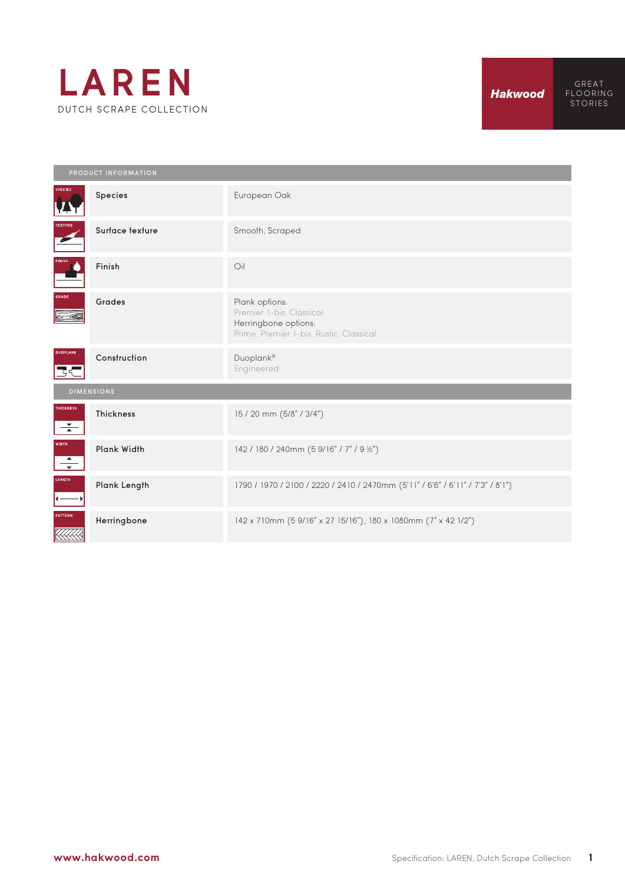

GREAT

Species **European Oak** Surface texture Smooth, Scraped Finish Oil Grades Plank options: Premier 1-bis, Classical Herringbone options: Prime, Premier 1-bis, Rustic, Classical Construction Duoplank® Engineered द< **HICKNESS** Thickness 15 / 20 mm (5/8" / 3/4")  $\frac{1}{\sqrt{2}}$ WIDTH<br>
<del>V</del><br>
LENGTH<br>
( Plank Width 142 / 180 / 240mm (5 9/16" / 7" / 9 ½") Plank Length 1790 / 1970 / 2100 / 2220 / 2410 / 2470mm (5'11" / 6'6" / 6'11" / 7'3" / 8'1") (TERN Herringbone 142 x 710mm (5 9/16" x 27 15/16"), 180 x 1080mm (7" x 42 1/2") .<br>KKA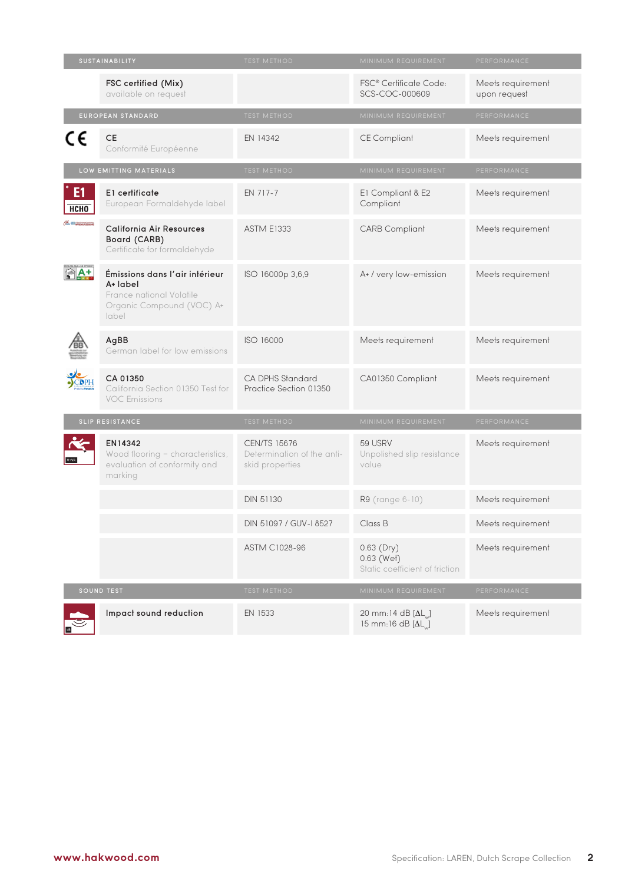| SUSTAINABILITY          |                                                                                                              | <b>TEST METHOD</b>                                                   | MINIMUM REQUIREMENT                                                      | PERFORMANCE                       |
|-------------------------|--------------------------------------------------------------------------------------------------------------|----------------------------------------------------------------------|--------------------------------------------------------------------------|-----------------------------------|
|                         | FSC certified (Mix)<br>available on request                                                                  |                                                                      | FSC® Certificate Code:<br>SCS-COC-000609                                 | Meets requirement<br>upon request |
|                         | EUROPEAN STANDARD                                                                                            | TEST METHOD                                                          | MINIMUM REQUIREMENT                                                      | PERFORMANCE                       |
| C€                      | <b>CE</b><br>Conformité Européenne                                                                           | EN 14342                                                             | <b>CE Compliant</b>                                                      | Meets requirement                 |
| LOW EMITTING MATERIALS  |                                                                                                              | <b>TEST METHOD</b>                                                   | MINIMUM REQUIREMENT                                                      | PERFORMANCE                       |
| E <sub>1</sub><br>НСНО  | E1 certificate<br>European Formaldehyde label                                                                | EN 717-7                                                             | E1 Compliant & E2<br>Compliant                                           | Meets requirement                 |
| CHO E ARRESOURCES BOARD | <b>California Air Resources</b><br>Board (CARB)<br>Certificate for formaldehyde                              | <b>ASTM E1333</b>                                                    | <b>CARB Compliant</b>                                                    | Meets requirement                 |
|                         | Émissions dans l'air intérieur<br>A+ label<br>France national Volatile<br>Organic Compound (VOC) A+<br>label | ISO 16000p 3,6,9                                                     | A+ / very low-emission                                                   | Meets requirement                 |
|                         | AgBB<br>German label for low emissions                                                                       | ISO 16000                                                            | Meets requirement                                                        | Meets requirement                 |
|                         | CA 01350<br>California Section 01350 Test for<br><b>VOC Emissions</b>                                        | CA DPHS Standard<br>Practice Section 01350                           | CA01350 Compliant                                                        | Meets requirement                 |
|                         | SLIP RESISTANCE                                                                                              | <b>TEST METHOD</b>                                                   | MINIMUM REQUIREMENT                                                      | PERFORMANCE                       |
|                         | EN14342<br>Wood flooring - characteristics,<br>evaluation of conformity and<br>marking                       | <b>CEN/TS 15676</b><br>Determination of the anti-<br>skid properties | 59 USRV<br>Unpolished slip resistance<br>value                           | Meets requirement                 |
|                         |                                                                                                              | <b>DIN 51130</b>                                                     | R9 (range 6-10)                                                          | Meets requirement                 |
|                         |                                                                                                              | DIN 51097 / GUV-I 8527                                               | Class B                                                                  | Meets requirement                 |
|                         |                                                                                                              | ASTM C1028-96                                                        | $0.63$ (Dry)<br>$0.63$ (Wet)<br>Static coefficient of friction           | Meets requirement                 |
| <b>SOUND TEST</b>       |                                                                                                              | TEST METHOD                                                          | MINIMUM REQUIREMENT                                                      | PERFORMANCE                       |
|                         | Impact sound reduction                                                                                       | EN 1533                                                              | 20 mm:14 dB $[\Delta L_{\text{w}}]$<br>15 mm:16 dB $[\Delta L_{\omega}]$ | Meets requirement                 |